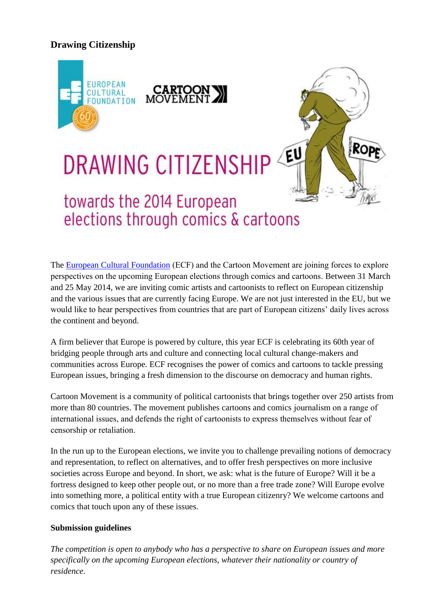## **Drawing Citizenship**



## EU **DRAWING CITIZENSHIP**

## towards the 2014 European elections through comics & cartoons

The [European Cultural Foundation](http://www.culturalfoundation.eu/) (ECF) and the Cartoon Movement are joining forces to explore perspectives on the upcoming European elections through comics and cartoons. Between 31 March and 25 May 2014, we are inviting comic artists and cartoonists to reflect on European citizenship and the various issues that are currently facing Europe. We are not just interested in the EU, but we would like to hear perspectives from countries that are part of European citizens' daily lives across the continent and beyond.

Rop

A firm believer that Europe is powered by culture, this year ECF is celebrating its 60th year of bridging people through arts and culture and connecting local cultural change-makers and communities across Europe. ECF recognises the power of comics and cartoons to tackle pressing European issues, bringing a fresh dimension to the discourse on democracy and human rights.

Cartoon Movement is a community of political cartoonists that brings together over 250 artists from more than 80 countries. The movement publishes cartoons and comics journalism on a range of international issues, and defends the right of cartoonists to express themselves without fear of censorship or retaliation.

In the run up to the European elections, we invite you to challenge prevailing notions of democracy and representation, to reflect on alternatives, and to offer fresh perspectives on more inclusive societies across Europe and beyond. In short, we ask: what is the future of Europe? Will it be a fortress designed to keep other people out, or no more than a free trade zone? Will Europe evolve into something more, a political entity with a true European citizenry? We welcome cartoons and comics that touch upon any of these issues.

## **Submission guidelines**

*The competition is open to anybody who has a perspective to share on European issues and more specifically on the upcoming European elections, whatever their nationality or country of residence.*